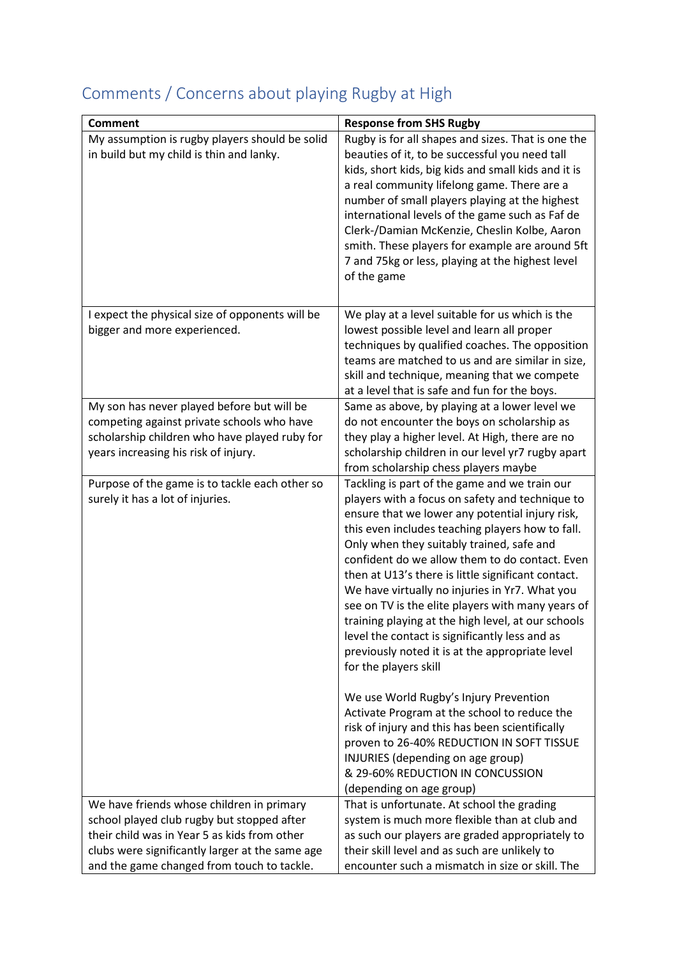| <b>Response from SHS Rugby</b><br><b>Comment</b><br>My assumption is rugby players should be solid<br>Rugby is for all shapes and sizes. That is one the<br>in build but my child is thin and lanky.<br>beauties of it, to be successful you need tall<br>kids, short kids, big kids and small kids and it is<br>a real community lifelong game. There are a<br>number of small players playing at the highest<br>international levels of the game such as Faf de<br>Clerk-/Damian McKenzie, Cheslin Kolbe, Aaron<br>smith. These players for example are around 5ft<br>7 and 75kg or less, playing at the highest level<br>of the game<br>I expect the physical size of opponents will be<br>We play at a level suitable for us which is the                                                                                                                                                                                                                                                                                                |
|----------------------------------------------------------------------------------------------------------------------------------------------------------------------------------------------------------------------------------------------------------------------------------------------------------------------------------------------------------------------------------------------------------------------------------------------------------------------------------------------------------------------------------------------------------------------------------------------------------------------------------------------------------------------------------------------------------------------------------------------------------------------------------------------------------------------------------------------------------------------------------------------------------------------------------------------------------------------------------------------------------------------------------------------|
|                                                                                                                                                                                                                                                                                                                                                                                                                                                                                                                                                                                                                                                                                                                                                                                                                                                                                                                                                                                                                                              |
| bigger and more experienced.<br>lowest possible level and learn all proper<br>techniques by qualified coaches. The opposition<br>teams are matched to us and are similar in size,<br>skill and technique, meaning that we compete<br>at a level that is safe and fun for the boys.                                                                                                                                                                                                                                                                                                                                                                                                                                                                                                                                                                                                                                                                                                                                                           |
| My son has never played before but will be<br>Same as above, by playing at a lower level we<br>do not encounter the boys on scholarship as<br>competing against private schools who have<br>scholarship children who have played ruby for<br>they play a higher level. At High, there are no<br>scholarship children in our level yr7 rugby apart<br>years increasing his risk of injury.<br>from scholarship chess players maybe                                                                                                                                                                                                                                                                                                                                                                                                                                                                                                                                                                                                            |
| Purpose of the game is to tackle each other so<br>Tackling is part of the game and we train our<br>surely it has a lot of injuries.<br>players with a focus on safety and technique to<br>ensure that we lower any potential injury risk,<br>this even includes teaching players how to fall.<br>Only when they suitably trained, safe and<br>confident do we allow them to do contact. Even<br>then at U13's there is little significant contact.<br>We have virtually no injuries in Yr7. What you<br>see on TV is the elite players with many years of<br>training playing at the high level, at our schools<br>level the contact is significantly less and as<br>previously noted it is at the appropriate level<br>for the players skill<br>We use World Rugby's Injury Prevention<br>Activate Program at the school to reduce the<br>risk of injury and this has been scientifically<br>proven to 26-40% REDUCTION IN SOFT TISSUE<br>INJURIES (depending on age group)<br>& 29-60% REDUCTION IN CONCUSSION<br>(depending on age group) |
| We have friends whose children in primary<br>That is unfortunate. At school the grading                                                                                                                                                                                                                                                                                                                                                                                                                                                                                                                                                                                                                                                                                                                                                                                                                                                                                                                                                      |
| school played club rugby but stopped after<br>system is much more flexible than at club and                                                                                                                                                                                                                                                                                                                                                                                                                                                                                                                                                                                                                                                                                                                                                                                                                                                                                                                                                  |
| their child was in Year 5 as kids from other<br>as such our players are graded appropriately to                                                                                                                                                                                                                                                                                                                                                                                                                                                                                                                                                                                                                                                                                                                                                                                                                                                                                                                                              |
| clubs were significantly larger at the same age<br>their skill level and as such are unlikely to                                                                                                                                                                                                                                                                                                                                                                                                                                                                                                                                                                                                                                                                                                                                                                                                                                                                                                                                             |

## Comments / Concerns about playing Rugby at High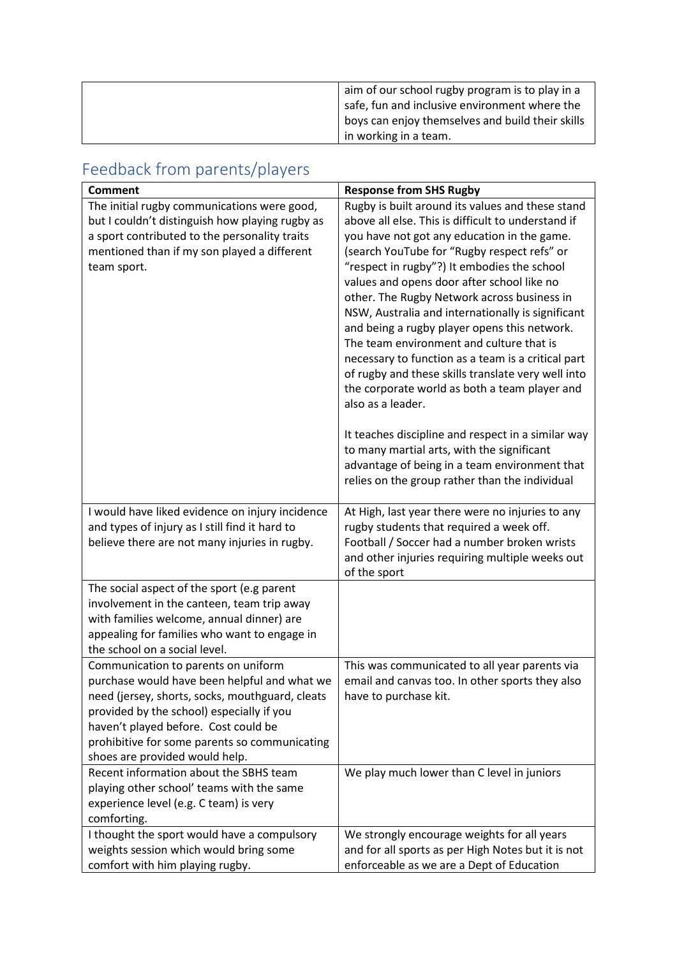| aim of our school rugby program is to play in a  |
|--------------------------------------------------|
| safe, fun and inclusive environment where the    |
| boys can enjoy themselves and build their skills |
| in working in a team.                            |

## Feedback from parents/players

| <b>Comment</b>                                  | <b>Response from SHS Rugby</b>                     |
|-------------------------------------------------|----------------------------------------------------|
| The initial rugby communications were good,     | Rugby is built around its values and these stand   |
| but I couldn't distinguish how playing rugby as | above all else. This is difficult to understand if |
| a sport contributed to the personality traits   | you have not got any education in the game.        |
| mentioned than if my son played a different     | (search YouTube for "Rugby respect refs" or        |
| team sport.                                     | "respect in rugby"?) It embodies the school        |
|                                                 | values and opens door after school like no         |
|                                                 | other. The Rugby Network across business in        |
|                                                 | NSW, Australia and internationally is significant  |
|                                                 | and being a rugby player opens this network.       |
|                                                 | The team environment and culture that is           |
|                                                 | necessary to function as a team is a critical part |
|                                                 | of rugby and these skills translate very well into |
|                                                 | the corporate world as both a team player and      |
|                                                 | also as a leader.                                  |
|                                                 |                                                    |
|                                                 | It teaches discipline and respect in a similar way |
|                                                 | to many martial arts, with the significant         |
|                                                 | advantage of being in a team environment that      |
|                                                 | relies on the group rather than the individual     |
| I would have liked evidence on injury incidence | At High, last year there were no injuries to any   |
| and types of injury as I still find it hard to  | rugby students that required a week off.           |
| believe there are not many injuries in rugby.   | Football / Soccer had a number broken wrists       |
|                                                 | and other injuries requiring multiple weeks out    |
|                                                 | of the sport                                       |
| The social aspect of the sport (e.g parent      |                                                    |
| involvement in the canteen, team trip away      |                                                    |
| with families welcome, annual dinner) are       |                                                    |
| appealing for families who want to engage in    |                                                    |
| the school on a social level.                   |                                                    |
| Communication to parents on uniform             | This was communicated to all year parents via      |
| purchase would have been helpful and what we    | email and canvas too. In other sports they also    |
| need (jersey, shorts, socks, mouthguard, cleats | have to purchase kit.                              |
| provided by the school) especially if you       |                                                    |
| haven't played before. Cost could be            |                                                    |
| prohibitive for some parents so communicating   |                                                    |
| shoes are provided would help.                  |                                                    |
| Recent information about the SBHS team          | We play much lower than C level in juniors         |
| playing other school' teams with the same       |                                                    |
| experience level (e.g. C team) is very          |                                                    |
| comforting.                                     |                                                    |
| I thought the sport would have a compulsory     | We strongly encourage weights for all years        |
| weights session which would bring some          | and for all sports as per High Notes but it is not |
| comfort with him playing rugby.                 | enforceable as we are a Dept of Education          |